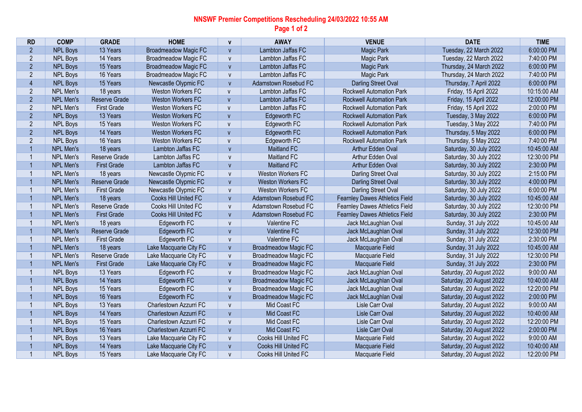## **NNSWF Premier Competitions Rescheduling 24/03/2022 10:55 AM Page 1 of 2**

| <b>RD</b>      | <b>COMP</b>      | <b>GRADE</b>       | <b>HOME</b>                 | V            | <b>AWAY</b>                 | <b>VENUE</b>                          | <b>DATE</b>              | <b>TIME</b> |
|----------------|------------------|--------------------|-----------------------------|--------------|-----------------------------|---------------------------------------|--------------------------|-------------|
| $\overline{2}$ | <b>NPL Boys</b>  | 13 Years           | <b>Broadmeadow Magic FC</b> | V            | Lambton Jaffas FC           | <b>Magic Park</b>                     | Tuesday, 22 March 2022   | 6:00:00 PM  |
| $\overline{2}$ | <b>NPL Boys</b>  | 14 Years           | <b>Broadmeadow Magic FC</b> | $\mathsf{V}$ | Lambton Jaffas FC           | Magic Park                            | Tuesday, 22 March 2022   | 7:40:00 PM  |
| $\overline{2}$ | <b>NPL Boys</b>  | 15 Years           | <b>Broadmeadow Magic FC</b> | V            | Lambton Jaffas FC           | <b>Magic Park</b>                     | Thursday, 24 March 2022  | 6:00:00 PM  |
| $\overline{2}$ | <b>NPL Boys</b>  | 16 Years           | <b>Broadmeadow Magic FC</b> | V            | Lambton Jaffas FC           | <b>Magic Park</b>                     | Thursday, 24 March 2022  | 7:40:00 PM  |
| $\overline{4}$ | <b>NPL Boys</b>  | 15 Years           | Newcastle Olypmic FC        | $\mathsf{V}$ | Adamstown Rosebud FC        | <b>Darling Street Oval</b>            | Thursday, 7 April 2022   | 6:00:00 PM  |
| $\overline{2}$ | NPL Men's        | 18 years           | Weston Workers FC           | $\mathsf{V}$ | Lambton Jaffas FC           | <b>Rockwell Automation Park</b>       | Friday, 15 April 2022    | 10:15:00 AM |
| $\overline{2}$ | <b>NPL Men's</b> | Reserve Grade      | <b>Weston Workers FC</b>    | $\mathsf{V}$ | Lambton Jaffas FC           | <b>Rockwell Automation Park</b>       | Friday, 15 April 2022    | 12:00:00 PM |
| $\overline{2}$ | NPL Men's        | <b>First Grade</b> | <b>Weston Workers FC</b>    | $\mathsf{V}$ | Lambton Jaffas FC           | <b>Rockwell Automation Park</b>       | Friday, 15 April 2022    | 2:00:00 PM  |
| $\overline{2}$ | <b>NPL Boys</b>  | 13 Years           | <b>Weston Workers FC</b>    | $\mathsf{V}$ | Edgeworth FC                | <b>Rockwell Automation Park</b>       | Tuesday, 3 May 2022      | 6:00:00 PM  |
| $\overline{2}$ | <b>NPL Boys</b>  | 15 Years           | Weston Workers FC           | $\mathsf{V}$ | Edgeworth FC                | <b>Rockwell Automation Park</b>       | Tuesday, 3 May 2022      | 7:40:00 PM  |
| $\overline{2}$ | <b>NPL Boys</b>  | 14 Years           | <b>Weston Workers FC</b>    | $\mathsf{V}$ | Edgeworth FC                | <b>Rockwell Automation Park</b>       | Thursday, 5 May 2022     | 6:00:00 PM  |
| $\overline{2}$ | <b>NPL Boys</b>  | 16 Years           | <b>Weston Workers FC</b>    | $\mathsf{V}$ | Edgeworth FC                | <b>Rockwell Automation Park</b>       | Thursday, 5 May 2022     | 7:40:00 PM  |
| $\mathbf{1}$   | NPL Men's        | 18 years           | Lambton Jaffas FC           | $\mathsf{V}$ | Maitland FC                 | Arthur Edden Oval                     | Saturday, 30 July 2022   | 10:45:00 AM |
| $\mathbf{1}$   | NPL Men's        | Reserve Grade      | Lambton Jaffas FC           | V            | Maitland FC                 | Arthur Edden Oval                     | Saturday, 30 July 2022   | 12:30:00 PM |
| $\overline{1}$ | NPL Men's        | <b>First Grade</b> | Lambton Jaffas FC           | V            | <b>Maitland FC</b>          | Arthur Edden Oval                     | Saturday, 30 July 2022   | 2:30:00 PM  |
| 1              | NPL Men's        | 18 years           | Newcastle Olypmic FC        | V            | <b>Weston Workers FC</b>    | <b>Darling Street Oval</b>            | Saturday, 30 July 2022   | 2:15:00 PM  |
| $\overline{1}$ | <b>NPL Men's</b> | Reserve Grade      | Newcastle Olypmic FC        | V            | <b>Weston Workers FC</b>    | Darling Street Oval                   | Saturday, 30 July 2022   | 4:00:00 PM  |
| $\mathbf 1$    | NPL Men's        | <b>First Grade</b> | Newcastle Olypmic FC        | V            | <b>Weston Workers FC</b>    | Darling Street Oval                   | Saturday, 30 July 2022   | 6:00:00 PM  |
| $\overline{1}$ | NPL Men's        | 18 years           | <b>Cooks Hill United FC</b> | V            | Adamstown Rosebud FC        | <b>Fearnley Dawes Athletics Field</b> | Saturday, 30 July 2022   | 10:45:00 AM |
| $\mathbf{1}$   | NPL Men's        | Reserve Grade      | Cooks Hill United FC        | V            | Adamstown Rosebud FC        | Fearnley Dawes Athletics Field        | Saturday, 30 July 2022   | 12:30:00 PM |
| $\mathbf 1$    | NPL Men's        | <b>First Grade</b> | Cooks Hill United FC        | V            | Adamstown Rosebud FC        | <b>Fearnley Dawes Athletics Field</b> | Saturday, 30 July 2022   | 2:30:00 PM  |
|                | NPL Men's        | 18 years           | Edgeworth FC                | ${\sf V}$    | <b>Valentine FC</b>         | Jack McLaughlan Oval                  | Sunday, 31 July 2022     | 10:45:00 AM |
| $\overline{1}$ | <b>NPL Men's</b> | Reserve Grade      | Edgeworth FC                | V            | <b>Valentine FC</b>         | Jack McLaughlan Oval                  | Sunday, 31 July 2022     | 12:30:00 PM |
| $\mathbf 1$    | NPL Men's        | <b>First Grade</b> | Edgeworth FC                | $\mathsf{V}$ | Valentine FC                | Jack McLaughlan Oval                  | Sunday, 31 July 2022     | 2:30:00 PM  |
| $\overline{1}$ | NPL Men's        | 18 years           | Lake Macquarie City FC      | V            | <b>Broadmeadow Magic FC</b> | Macquarie Field                       | Sunday, 31 July 2022     | 10:45:00 AM |
| $\mathbf 1$    | NPL Men's        | Reserve Grade      | Lake Macquarie City FC      | V            | <b>Broadmeadow Magic FC</b> | Macquarie Field                       | Sunday, 31 July 2022     | 12:30:00 PM |
| $\overline{1}$ | <b>NPL Men's</b> | <b>First Grade</b> | Lake Macquarie City FC      | $\mathsf{V}$ | <b>Broadmeadow Magic FC</b> | Macquarie Field                       | Sunday, 31 July 2022     | 2:30:00 PM  |
| $\mathbf{1}$   | <b>NPL Boys</b>  | 13 Years           | Edgeworth FC                | V            | <b>Broadmeadow Magic FC</b> | Jack McLaughlan Oval                  | Saturday, 20 August 2022 | 9:00:00 AM  |
| $\mathbf{1}$   | <b>NPL Boys</b>  | 14 Years           | Edgeworth FC                | $\mathsf{V}$ | <b>Broadmeadow Magic FC</b> | Jack McLaughlan Oval                  | Saturday, 20 August 2022 | 10:40:00 AM |
| $\mathbf{1}$   | <b>NPL Boys</b>  | 15 Years           | Edgeworth FC                | ${\sf V}$    | <b>Broadmeadow Magic FC</b> | Jack McLaughlan Oval                  | Saturday, 20 August 2022 | 12:20:00 PM |
| $\mathbf{1}$   | <b>NPL Boys</b>  | 16 Years           | Edgeworth FC                | V            | <b>Broadmeadow Magic FC</b> | Jack McLaughlan Oval                  | Saturday, 20 August 2022 | 2:00:00 PM  |
|                | <b>NPL Boys</b>  | 13 Years           | Charlestown Azzurri FC      | $\mathsf{V}$ | Mid Coast FC                | Lisle Carr Oval                       | Saturday, 20 August 2022 | 9:00:00 AM  |
| $\mathbf{1}$   | <b>NPL Boys</b>  | 14 Years           | Charlestown Azzurri FC      | V            | Mid Coast FC                | Lisle Carr Oval                       | Saturday, 20 August 2022 | 10:40:00 AM |
| 1              | <b>NPL Boys</b>  | 15 Years           | Charlestown Azzurri FC      | V            | Mid Coast FC                | Lisle Carr Oval                       | Saturday, 20 August 2022 | 12:20:00 PM |
| $\overline{1}$ | <b>NPL Boys</b>  | 16 Years           | Charlestown Azzurri FC      | V            | Mid Coast FC                | Lisle Carr Oval                       | Saturday, 20 August 2022 | 2:00:00 PM  |
| $\mathbf{1}$   | <b>NPL Boys</b>  | 13 Years           | Lake Macquarie City FC      | V            | Cooks Hill United FC        | Macquarie Field                       | Saturday, 20 August 2022 | 9:00:00 AM  |
| $\mathbf 1$    | <b>NPL Boys</b>  | 14 Years           | Lake Macquarie City FC      | $\mathsf{V}$ | Cooks Hill United FC        | Macquarie Field                       | Saturday, 20 August 2022 | 10:40:00 AM |
| $\mathbf 1$    | <b>NPL Boys</b>  | 15 Years           | Lake Macquarie City FC      | $\mathsf{V}$ | Cooks Hill United FC        | Macquarie Field                       | Saturday, 20 August 2022 | 12:20:00 PM |